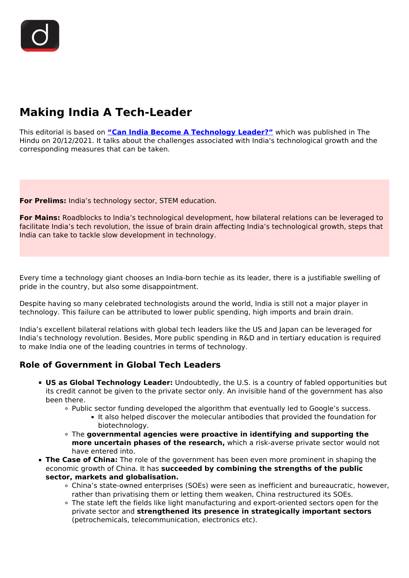# **Making India A Tech-Leader**

This editorial is based on **["Can India Become A Technology Leader?"](https://www.thehindu.com/opinion/op-ed/can-india-become-a-technology-leader/article37991978.ece)** which was published in The Hindu on 20/12/2021. It talks about the challenges associated with India's technological growth and the corresponding measures that can be taken.

**For Prelims:** India's technology sector, STEM education.

**For Mains:** Roadblocks to India's technological development, how bilateral relations can be leveraged to facilitate India's tech revolution, the issue of brain drain affecting India's technological growth, steps that India can take to tackle slow development in technology.

Every time a technology giant chooses an India-born techie as its leader, there is a justifiable swelling of pride in the country, but also some disappointment.

Despite having so many celebrated technologists around the world, India is still not a major player in technology. This failure can be attributed to lower public spending, high imports and brain drain.

India's excellent bilateral relations with global tech leaders like the US and Japan can be leveraged for India's technology revolution. Besides, More public spending in R&D and in tertiary education is required to make India one of the leading countries in terms of technology.

## **Role of Government in Global Tech Leaders**

- **US as Global Technology Leader:** Undoubtedly, the U.S. is a country of fabled opportunities but its credit cannot be given to the private sector only. An invisible hand of the government has also been there.
	- Public sector funding developed the algorithm that eventually led to Google's success.
		- It also helped discover the molecular antibodies that provided the foundation for biotechnology.
	- The **governmental agencies were proactive in identifying and supporting the more uncertain phases of the research,** which a risk-averse private sector would not have entered into.
- **The Case of China:** The role of the government has been even more prominent in shaping the economic growth of China. It has **succeeded by combining the strengths of the public sector, markets and globalisation.**
	- China's state-owned enterprises (SOEs) were seen as inefficient and bureaucratic, however, rather than privatising them or letting them weaken, China restructured its SOEs.
	- The state left the fields like light manufacturing and export-oriented sectors open for the private sector and **strengthened its presence in strategically important sectors** (petrochemicals, telecommunication, electronics etc).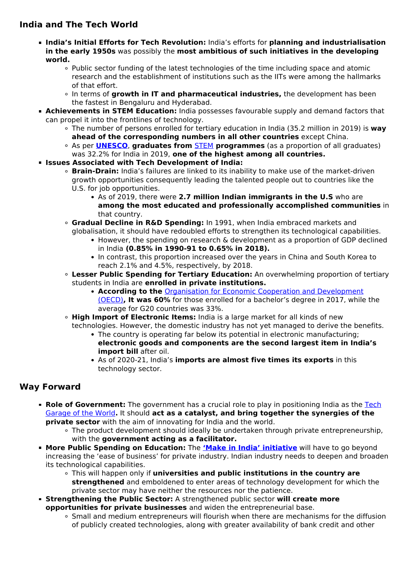## **India and The Tech World**

- **India's Initial Efforts for Tech Revolution:** India's efforts for **planning and industrialisation in the early 1950s** was possibly the **most ambitious of such initiatives in the developing world.**
	- Public sector funding of the latest technologies of the time including space and atomic research and the establishment of institutions such as the IITs were among the hallmarks of that effort.
	- In terms of **growth in IT and pharmaceutical industries,** the development has been the fastest in Bengaluru and Hyderabad.
- **Achievements in STEM Education:** India possesses favourable supply and demand factors that can propel it into the frontlines of technology.
	- The number of persons enrolled for tertiary education in India (35.2 million in 2019) is **way ahead of the corresponding numbers in all other countries** except China.
	- As per **[UNESCO](/important-institutions/drishti-specials-important-institutions-international-institution/unesco-5)**, **graduates from** [STEM](/daily-updates/daily-news-analysis/women-participation-in-stem) **programmes** (as a proportion of all graduates) was 32.2% for India in 2019, **one of the highest among all countries.**
- **Issues Associated with Tech Development of India:**
	- **Brain-Drain:** India's failures are linked to its inability to make use of the market-driven growth opportunities consequently leading the talented people out to countries like the U.S. for job opportunities.
		- As of 2019, there were **2.7 million Indian immigrants in the U.S** who are **among the most educated and professionally accomplished communities** in that country.
	- **Gradual Decline in R&D Spending:** In 1991, when India embraced markets and globalisation, it should have redoubled efforts to strengthen its technological capabilities.
		- However, the spending on research & development as a proportion of GDP declined in India **(0.85% in 1990-91 to 0.65% in 2018).**
		- In contrast, this proportion increased over the years in China and South Korea to reach 2.1% and 4.5%, respectively, by 2018.
	- **Lesser Public Spending for Tertiary Education:** An overwhelming proportion of tertiary students in India are **enrolled in private institutions.**
		- **According to the** [Organisation for Economic Cooperation and Development](/daily-updates/daily-news-analysis/india-joins-oecd-g20-inclusive-framework-tax-deal) [\(OECD\)](/daily-updates/daily-news-analysis/india-joins-oecd-g20-inclusive-framework-tax-deal)**, It was 60%** for those enrolled for a bachelor's degree in 2017, while the average for G20 countries was 33%.
	- **High Import of Electronic Items:** India is a large market for all kinds of new technologies. However, the domestic industry has not yet managed to derive the benefits.
		- The country is operating far below its potential in electronic manufacturing; **electronic goods and components are the second largest item in India's import bill** after oil.
		- As of 2020-21, India's **imports are almost five times its exports** in this technology sector.

## **Way Forward**

- **Role of Government:** The government has a crucial role to play in positioning India as the [Tech](/daily-updates/daily-news-editorials/india-the-tech-garage-of-the-world) [Garage of the World](/daily-updates/daily-news-editorials/india-the-tech-garage-of-the-world)**.** It should **act as a catalyst, and bring together the synergies of the private sector** with the aim of innovating for India and the world.
	- The product development should ideally be undertaken through private entrepreneurship, with the **government acting as a facilitator.**
- **More Public Spending on Education:** The **['Make in India' initiative](/daily-updates/daily-news-editorials/assessment-of-make-in-india)** will have to go beyond increasing the 'ease of business' for private industry. Indian industry needs to deepen and broaden its technological capabilities.
	- This will happen only if **universities and public institutions in the country are strengthened** and emboldened to enter areas of technology development for which the private sector may have neither the resources nor the patience.
- **Strengthening the Public Sector:** A strengthened public sector **will create more opportunities for private businesses** and widen the entrepreneurial base.
	- Small and medium entrepreneurs will flourish when there are mechanisms for the diffusion of publicly created technologies, along with greater availability of bank credit and other